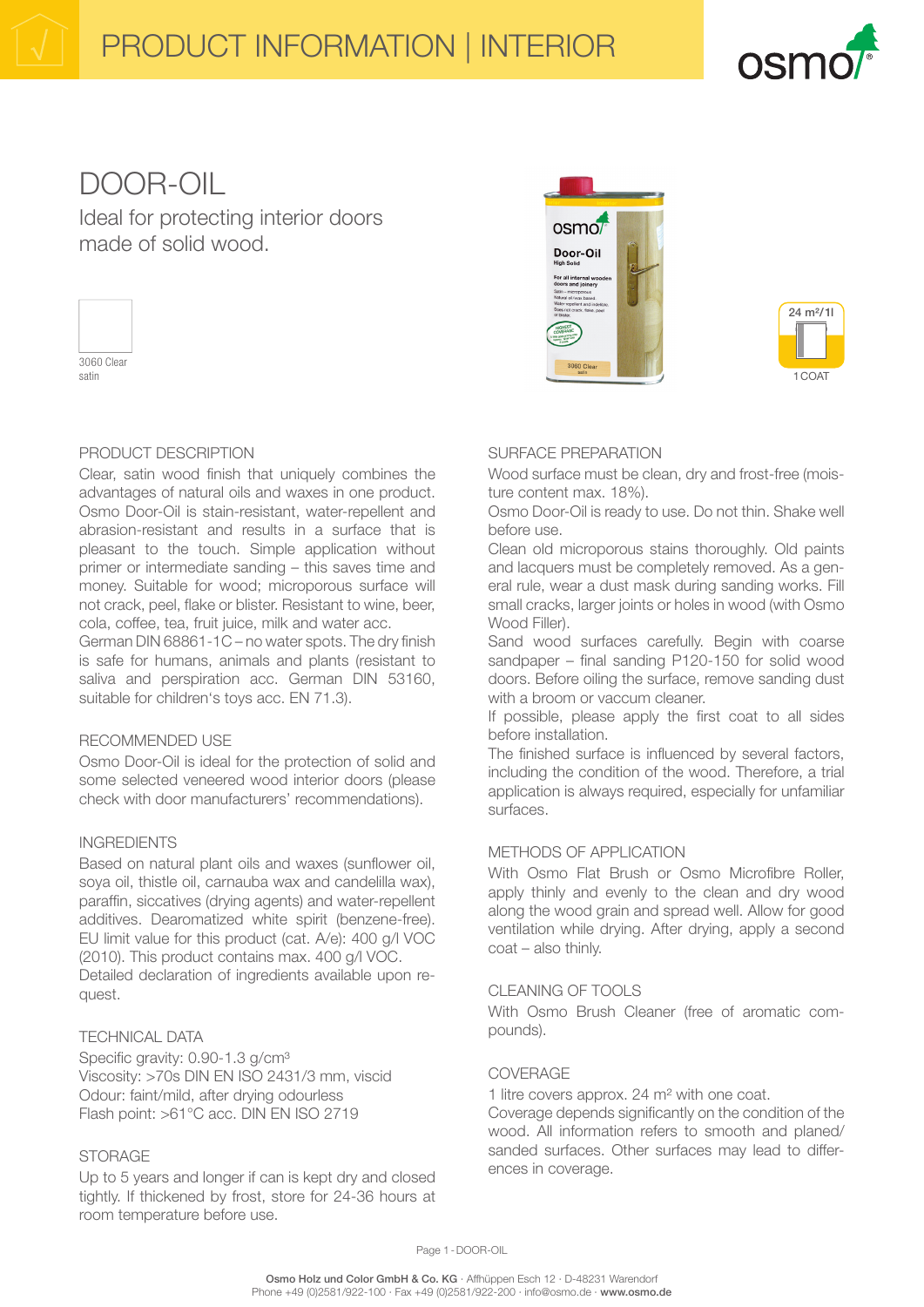

# DOOR-OIL

Ideal for protecting interior doors made of solid wood.



satin

## PRODUCT DESCRIPTION

Clear, satin wood finish that uniquely combines the advantages of natural oils and waxes in one product. Osmo Door-Oil is stain-resistant, water-repellent and abrasion-resistant and results in a surface that is pleasant to the touch. Simple application without primer or intermediate sanding – this saves time and money. Suitable for wood; microporous surface will not crack, peel, flake or blister. Resistant to wine, beer, cola, coffee, tea, fruit juice, milk and water acc.

German DIN 68861-1C – no water spots. The dry finish is safe for humans, animals and plants (resistant to saliva and perspiration acc. German DIN 53160, suitable for children's toys acc. EN 71.3).

## RECOMMENDED USE

Osmo Door-Oil is ideal for the protection of solid and some selected veneered wood interior doors (please check with door manufacturers' recommendations).

## INGREDIENTS

Based on natural plant oils and waxes (sunflower oil, soya oil, thistle oil, carnauba wax and candelilla wax), paraffin, siccatives (drying agents) and water-repellent additives. Dearomatized white spirit (benzene-free). EU limit value for this product (cat. A/e): 400 g/l VOC (2010). This product contains max. 400 g/l VOC. Detailed declaration of ingredients available upon request.

## TECHNICAL DATA

Specific gravity: 0.90-1.3 g/cm<sup>3</sup> Viscosity: >70s DIN EN ISO 2431/3 mm, viscid Odour: faint/mild, after drying odourless Flash point: >61°C acc. DIN EN ISO 2719

## **STORAGE**

Up to 5 years and longer if can is kept dry and closed tightly. If thickened by frost, store for 24-36 hours at room temperature before use.





# SURFACE PREPARATION

Wood surface must be clean, dry and frost-free (moisture content max. 18%).

Osmo Door-Oil is ready to use. Do not thin. Shake well before use.

Clean old microporous stains thoroughly. Old paints and lacquers must be completely removed. As a general rule, wear a dust mask during sanding works. Fill small cracks, larger joints or holes in wood (with Osmo Wood Filler).

Sand wood surfaces carefully. Begin with coarse sandpaper – final sanding P120-150 for solid wood doors. Before oiling the surface, remove sanding dust with a broom or vaccum cleaner.

If possible, please apply the first coat to all sides before installation.

The finished surface is influenced by several factors, including the condition of the wood. Therefore, a trial application is always required, especially for unfamiliar surfaces.

## METHODS OF APPLICATION

With Osmo Flat Brush or Osmo Microfibre Roller, apply thinly and evenly to the clean and dry wood along the wood grain and spread well. Allow for good ventilation while drying. After drying, apply a second coat – also thinly.

## CLEANING OF TOOLS

With Osmo Brush Cleaner (free of aromatic compounds).

## COVERAGE

1 litre covers approx. 24 m² with one coat.

Coverage depends significantly on the condition of the wood. All information refers to smooth and planed/ sanded surfaces. Other surfaces may lead to differences in coverage.

Page 1 - DOOR-OIL